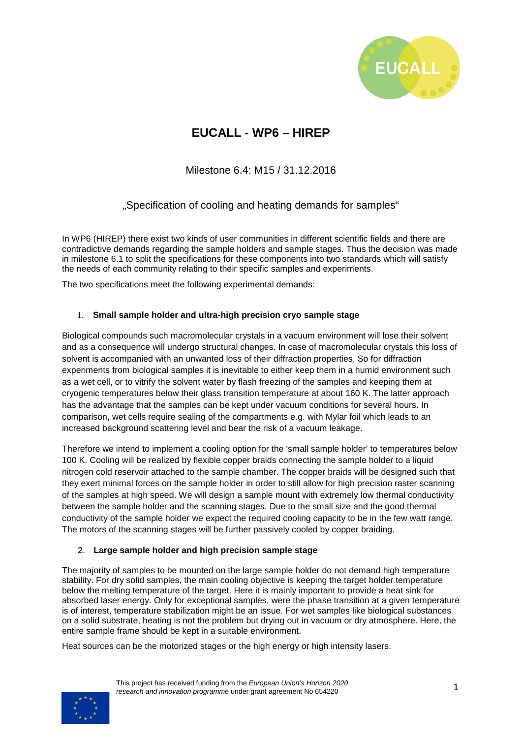

## **EUCALL - WP6 – HIREP**

Milestone 6.4: M15 / 31.12.2016

"Specification of cooling and heating demands for samples"

In WP6 (HIREP) there exist two kinds of user communities in different scientific fields and there are contradictive demands regarding the sample holders and sample stages. Thus the decision was made in milestone 6.1 to split the specifications for these components into two standards which will satisfy the needs of each community relating to their specific samples and experiments.

The two specifications meet the following experimental demands:

## 1. **Small sample holder and ultra-high precision cryo sample stage**

Biological compounds such macromolecular crystals in a vacuum environment will lose their solvent and as a consequence will undergo structural changes. In case of macromolecular crystals this loss of solvent is accompanied with an unwanted loss of their diffraction properties. So for diffraction experiments from biological samples it is inevitable to either keep them in a humid environment such as a wet cell, or to vitrify the solvent water by flash freezing of the samples and keeping them at cryogenic temperatures below their glass transition temperature at about 160 K. The latter approach has the advantage that the samples can be kept under vacuum conditions for several hours. In comparison, wet cells require sealing of the compartments e.g. with Mylar foil which leads to an increased background scattering level and bear the risk of a vacuum leakage.

Therefore we intend to implement a cooling option for the 'small sample holder' to temperatures below 100 K. Cooling will be realized by flexible copper braids connecting the sample holder to a liquid nitrogen cold reservoir attached to the sample chamber. The copper braids will be designed such that they exert minimal forces on the sample holder in order to still allow for high precision raster scanning of the samples at high speed. We will design a sample mount with extremely low thermal conductivity between the sample holder and the scanning stages. Due to the small size and the good thermal conductivity of the sample holder we expect the required cooling capacity to be in the few watt range. The motors of the scanning stages will be further passively cooled by copper braiding.

## 2. **Large sample holder and high precision sample stage**

The majority of samples to be mounted on the large sample holder do not demand high temperature stability. For dry solid samples, the main cooling objective is keeping the target holder temperature below the melting temperature of the target. Here it is mainly important to provide a heat sink for absorbed laser energy. Only for exceptional samples, were the phase transition at a given temperature is of interest, temperature stabilization might be an issue. For wet samples like biological substances on a solid substrate, heating is not the problem but drying out in vacuum or dry atmosphere. Here, the entire sample frame should be kept in a suitable environment.

Heat sources can be the motorized stages or the high energy or high intensity lasers.